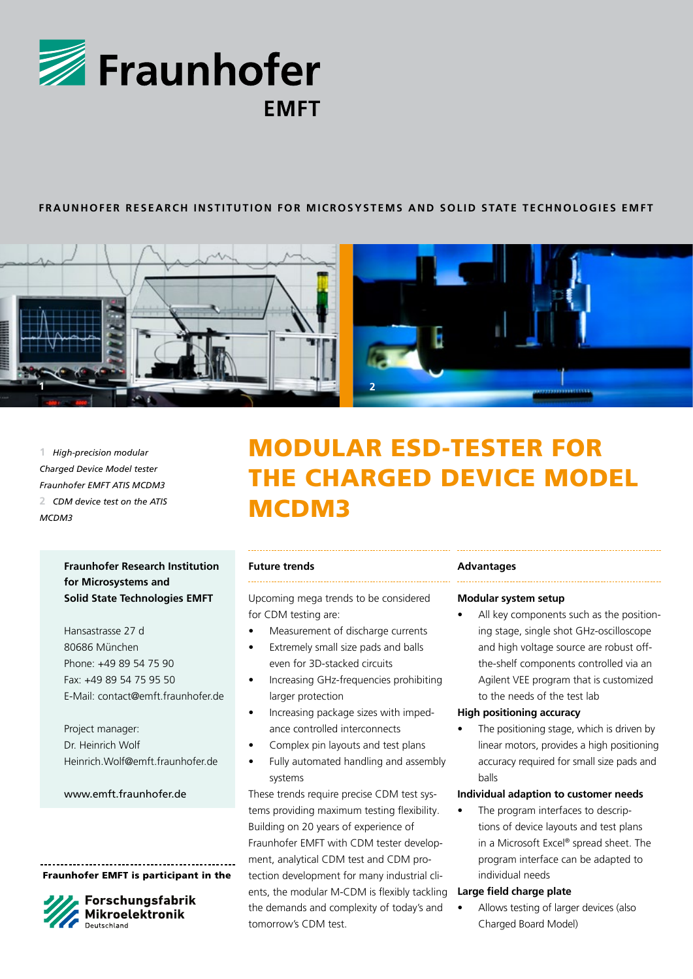

## **FRAUNHOFER Re s earch Ins t i tut ion for Microsyst ems and Sol id S tat e Technologie s EMF T**



**1** *High-precision modular Charged Device Model tester Fraunhofer EMFT ATIS MCDM3* **2** *CDM device test on the ATIS MCDM3*

# **Fraunhofer Research Institution for Microsystems and Solid State Technologies EMFT**

Hansastrasse 27 d 80686 München Phone: +49 89 54 75 90 Fax: +49 89 54 75 95 50 E-Mail: contact@emft.fraunhofer.de

Project manager: Dr. Heinrich Wolf Heinrich.Wolf@emft.fraunhofer.de

#### www.emft.fraunhofer.de

Fraunhofer EMFT is participant in the



Forschungsfabrik **Mikroelektronik** 

# Modular ESD-Tester for the Charged Device Model MCDM3

#### **Future trends**

Upcoming mega trends to be considered for CDM testing are:

- Measurement of discharge currents
- • Extremely small size pads and balls even for 3D-stacked circuits
- Increasing GHz-frequencies prohibiting larger protection
- Increasing package sizes with impedance controlled interconnects
- Complex pin layouts and test plans
- Fully automated handling and assembly systems

These trends require precise CDM test systems providing maximum testing flexibility. Building on 20 years of experience of Fraunhofer EMFT with CDM tester development, analytical CDM test and CDM protection development for many industrial clients, the modular M-CDM is flexibly tackling the demands and complexity of today's and tomorrow's CDM test.

#### **Advantages**

#### **Modular system setup**

All key components such as the positioning stage, single shot GHz-oscilloscope and high voltage source are robust offthe-shelf components controlled via an Agilent VEE program that is customized to the needs of the test lab

#### **High positioning accuracy**

The positioning stage, which is driven by linear motors, provides a high positioning accuracy required for small size pads and balls

#### **Individual adaption to customer needs**

• The program interfaces to descriptions of device layouts and test plans in a Microsoft Excel® spread sheet. The program interface can be adapted to individual needs

#### **Large field charge plate**

Allows testing of larger devices (also Charged Board Model)